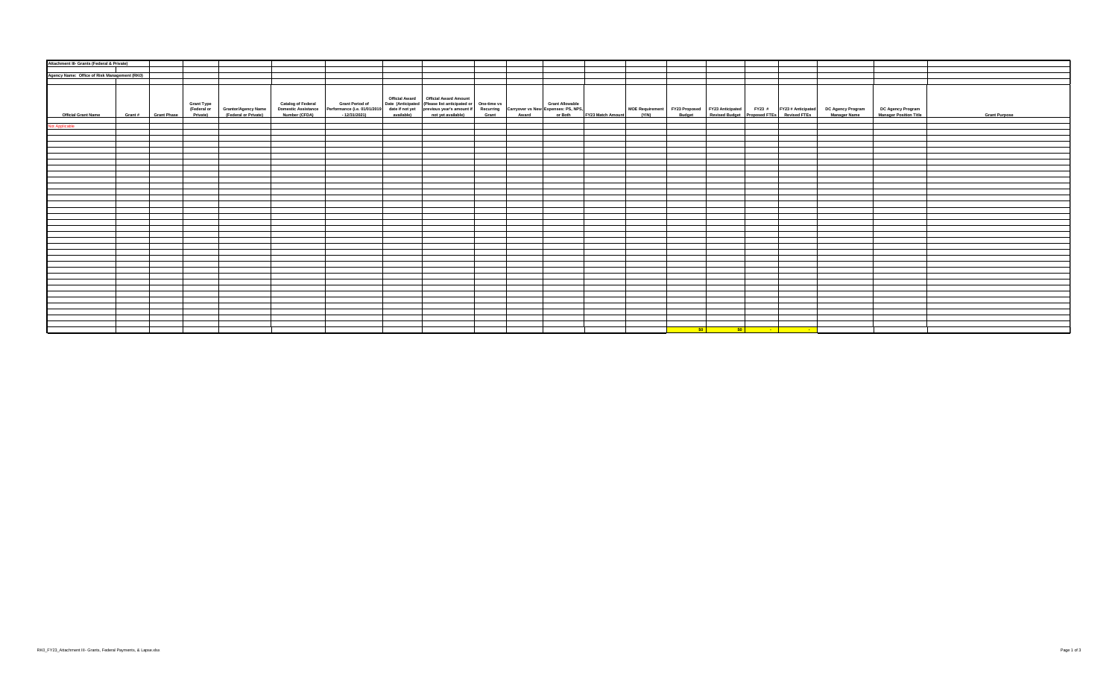| Attachment III- Grants (Federal & Private)   |                                          |                                                                  |  |                                        |                                                                                                                                                                                                                                   |  |                                                                                                                                                                                                                                       |
|----------------------------------------------|------------------------------------------|------------------------------------------------------------------|--|----------------------------------------|-----------------------------------------------------------------------------------------------------------------------------------------------------------------------------------------------------------------------------------|--|---------------------------------------------------------------------------------------------------------------------------------------------------------------------------------------------------------------------------------------|
|                                              |                                          |                                                                  |  |                                        |                                                                                                                                                                                                                                   |  |                                                                                                                                                                                                                                       |
| Agency Name: Office of Risk Management (RK0) |                                          |                                                                  |  |                                        |                                                                                                                                                                                                                                   |  |                                                                                                                                                                                                                                       |
|                                              |                                          |                                                                  |  |                                        |                                                                                                                                                                                                                                   |  |                                                                                                                                                                                                                                       |
|                                              |                                          |                                                                  |  |                                        |                                                                                                                                                                                                                                   |  |                                                                                                                                                                                                                                       |
| <b>Official Grant Name</b>                   | <b>Grant Type</b><br>Grant # Grant Phase | (Federal or Grantor/Agency Name<br>Private) (Federal or Private) |  | Official Award   Official Award Amount | Catalog of Federal Grant Period of Date (Anticipated (Please list anticipated or One-time vs Crant Allowable<br>Domestic Assistance Performance (i.e., 0.101/12019 date if not yet previous years amount if Recurring Carryover v |  | MOE Requirement FY23 Proposed FY23 Anticipated FY23 # FY23 # Anticipated DC Agency Program DC Agency Program<br>11 (Y/N) Budget Revised Budget Proposed FTEs Revised FTEs Manager Name Manager Position Title<br><b>Grant Purpose</b> |
|                                              |                                          |                                                                  |  |                                        |                                                                                                                                                                                                                                   |  |                                                                                                                                                                                                                                       |
| Not Applicable                               |                                          |                                                                  |  |                                        |                                                                                                                                                                                                                                   |  |                                                                                                                                                                                                                                       |
|                                              |                                          |                                                                  |  |                                        |                                                                                                                                                                                                                                   |  |                                                                                                                                                                                                                                       |
|                                              |                                          |                                                                  |  |                                        |                                                                                                                                                                                                                                   |  |                                                                                                                                                                                                                                       |
|                                              |                                          |                                                                  |  |                                        |                                                                                                                                                                                                                                   |  |                                                                                                                                                                                                                                       |
|                                              |                                          |                                                                  |  |                                        |                                                                                                                                                                                                                                   |  |                                                                                                                                                                                                                                       |
|                                              |                                          |                                                                  |  |                                        |                                                                                                                                                                                                                                   |  |                                                                                                                                                                                                                                       |
|                                              |                                          |                                                                  |  |                                        |                                                                                                                                                                                                                                   |  |                                                                                                                                                                                                                                       |
|                                              |                                          |                                                                  |  |                                        |                                                                                                                                                                                                                                   |  |                                                                                                                                                                                                                                       |
|                                              |                                          |                                                                  |  |                                        |                                                                                                                                                                                                                                   |  |                                                                                                                                                                                                                                       |
|                                              |                                          |                                                                  |  |                                        |                                                                                                                                                                                                                                   |  |                                                                                                                                                                                                                                       |
|                                              |                                          |                                                                  |  |                                        |                                                                                                                                                                                                                                   |  |                                                                                                                                                                                                                                       |
|                                              |                                          |                                                                  |  |                                        |                                                                                                                                                                                                                                   |  |                                                                                                                                                                                                                                       |
|                                              |                                          |                                                                  |  |                                        |                                                                                                                                                                                                                                   |  |                                                                                                                                                                                                                                       |
|                                              |                                          |                                                                  |  |                                        |                                                                                                                                                                                                                                   |  |                                                                                                                                                                                                                                       |
|                                              |                                          |                                                                  |  |                                        |                                                                                                                                                                                                                                   |  |                                                                                                                                                                                                                                       |
|                                              |                                          |                                                                  |  |                                        |                                                                                                                                                                                                                                   |  |                                                                                                                                                                                                                                       |
|                                              |                                          |                                                                  |  |                                        |                                                                                                                                                                                                                                   |  |                                                                                                                                                                                                                                       |
|                                              |                                          |                                                                  |  |                                        |                                                                                                                                                                                                                                   |  |                                                                                                                                                                                                                                       |
|                                              |                                          |                                                                  |  |                                        |                                                                                                                                                                                                                                   |  |                                                                                                                                                                                                                                       |
|                                              |                                          |                                                                  |  |                                        |                                                                                                                                                                                                                                   |  |                                                                                                                                                                                                                                       |
|                                              |                                          |                                                                  |  |                                        |                                                                                                                                                                                                                                   |  |                                                                                                                                                                                                                                       |
|                                              |                                          |                                                                  |  |                                        |                                                                                                                                                                                                                                   |  |                                                                                                                                                                                                                                       |
|                                              |                                          |                                                                  |  |                                        |                                                                                                                                                                                                                                   |  |                                                                                                                                                                                                                                       |
|                                              |                                          |                                                                  |  |                                        |                                                                                                                                                                                                                                   |  |                                                                                                                                                                                                                                       |
|                                              |                                          |                                                                  |  |                                        |                                                                                                                                                                                                                                   |  |                                                                                                                                                                                                                                       |
|                                              |                                          |                                                                  |  |                                        |                                                                                                                                                                                                                                   |  |                                                                                                                                                                                                                                       |
|                                              |                                          |                                                                  |  |                                        |                                                                                                                                                                                                                                   |  |                                                                                                                                                                                                                                       |
|                                              |                                          |                                                                  |  |                                        |                                                                                                                                                                                                                                   |  |                                                                                                                                                                                                                                       |
|                                              |                                          |                                                                  |  |                                        |                                                                                                                                                                                                                                   |  |                                                                                                                                                                                                                                       |
|                                              |                                          |                                                                  |  |                                        |                                                                                                                                                                                                                                   |  |                                                                                                                                                                                                                                       |
|                                              |                                          |                                                                  |  |                                        |                                                                                                                                                                                                                                   |  |                                                                                                                                                                                                                                       |
|                                              |                                          |                                                                  |  |                                        |                                                                                                                                                                                                                                   |  |                                                                                                                                                                                                                                       |
|                                              |                                          |                                                                  |  |                                        |                                                                                                                                                                                                                                   |  |                                                                                                                                                                                                                                       |
|                                              |                                          |                                                                  |  |                                        |                                                                                                                                                                                                                                   |  |                                                                                                                                                                                                                                       |
|                                              |                                          |                                                                  |  |                                        |                                                                                                                                                                                                                                   |  |                                                                                                                                                                                                                                       |
|                                              |                                          |                                                                  |  |                                        |                                                                                                                                                                                                                                   |  |                                                                                                                                                                                                                                       |
|                                              |                                          |                                                                  |  |                                        |                                                                                                                                                                                                                                   |  |                                                                                                                                                                                                                                       |
|                                              |                                          |                                                                  |  |                                        |                                                                                                                                                                                                                                   |  |                                                                                                                                                                                                                                       |
|                                              |                                          |                                                                  |  |                                        |                                                                                                                                                                                                                                   |  | <u>in the south set of the south of the south of the south of the south of the south of the south of the south of </u>                                                                                                                |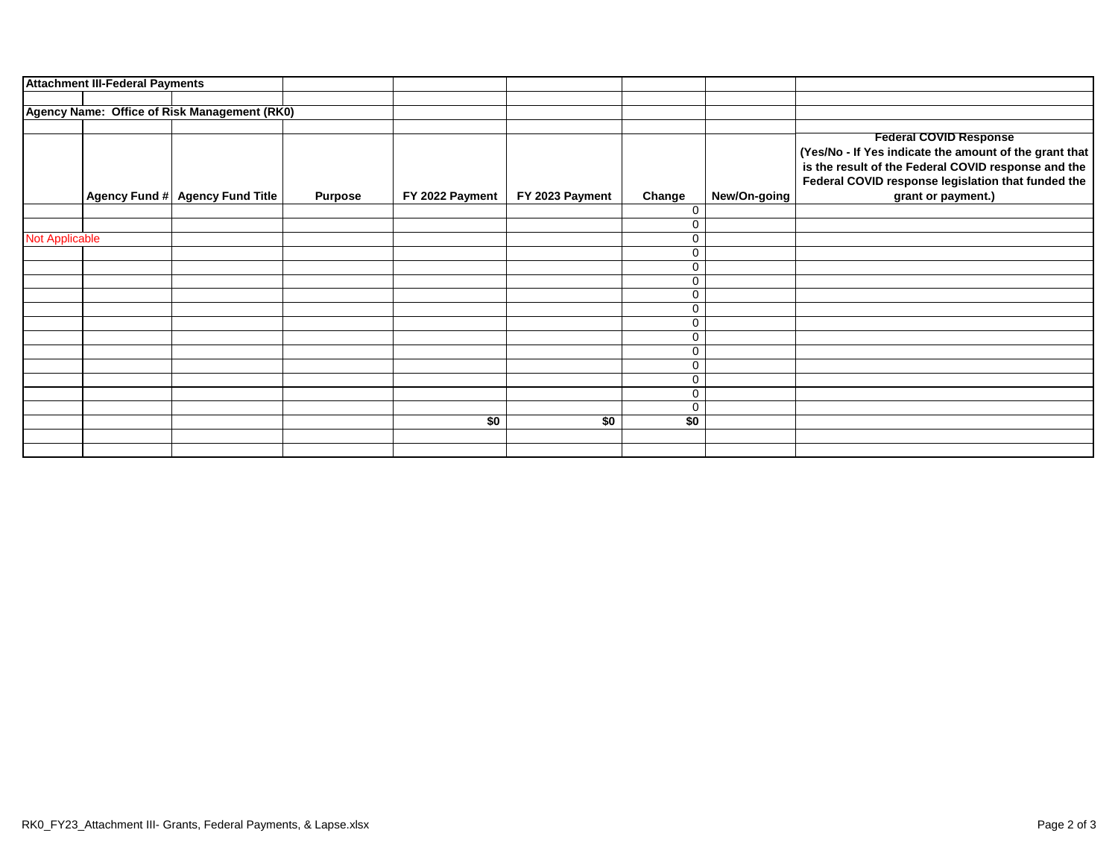|                       | <b>Attachment III-Federal Payments</b> |                                              |                |                 |                 |                        |                                                        |
|-----------------------|----------------------------------------|----------------------------------------------|----------------|-----------------|-----------------|------------------------|--------------------------------------------------------|
|                       |                                        |                                              |                |                 |                 |                        |                                                        |
|                       |                                        | Agency Name: Office of Risk Management (RK0) |                |                 |                 |                        |                                                        |
|                       |                                        |                                              |                |                 |                 |                        |                                                        |
|                       |                                        |                                              |                |                 |                 |                        | <b>Federal COVID Response</b>                          |
|                       |                                        |                                              |                |                 |                 |                        | (Yes/No - If Yes indicate the amount of the grant that |
|                       |                                        |                                              |                |                 |                 |                        | is the result of the Federal COVID response and the    |
|                       |                                        |                                              |                |                 |                 |                        | Federal COVID response legislation that funded the     |
|                       |                                        | Agency Fund # Agency Fund Title              | <b>Purpose</b> | FY 2022 Payment | FY 2023 Payment | New/On-going<br>Change | grant or payment.)                                     |
|                       |                                        |                                              |                |                 |                 | 0                      |                                                        |
|                       |                                        |                                              |                |                 |                 | 0                      |                                                        |
| <b>Not Applicable</b> |                                        |                                              |                |                 |                 | 0                      |                                                        |
|                       |                                        |                                              |                |                 |                 | 0                      |                                                        |
|                       |                                        |                                              |                |                 |                 | 0                      |                                                        |
|                       |                                        |                                              |                |                 |                 | 0                      |                                                        |
|                       |                                        |                                              |                |                 |                 | 0                      |                                                        |
|                       |                                        |                                              |                |                 |                 | 0                      |                                                        |
|                       |                                        |                                              |                |                 |                 | 0                      |                                                        |
|                       |                                        |                                              |                |                 |                 | 0                      |                                                        |
|                       |                                        |                                              |                |                 |                 | 0                      |                                                        |
|                       |                                        |                                              |                |                 |                 | 0                      |                                                        |
|                       |                                        |                                              |                |                 |                 | 0                      |                                                        |
|                       |                                        |                                              |                |                 |                 | 0                      |                                                        |
|                       |                                        |                                              |                |                 |                 | 0                      |                                                        |
|                       |                                        |                                              |                | \$0             | \$0             | \$0                    |                                                        |
|                       |                                        |                                              |                |                 |                 |                        |                                                        |
|                       |                                        |                                              |                |                 |                 |                        |                                                        |